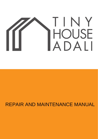# TINY HOUSE<br>ADALI

# REPAIR AND MAINTENANCE MANUAL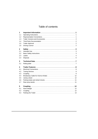# Table of contents

| 1                               |                                                                                                 |  |
|---------------------------------|-------------------------------------------------------------------------------------------------|--|
| 1.1                             |                                                                                                 |  |
| 1.2                             |                                                                                                 |  |
| 1.3                             |                                                                                                 |  |
| 1.4                             |                                                                                                 |  |
| 1.5                             |                                                                                                 |  |
| 1.6                             |                                                                                                 |  |
| $\overline{2}$                  |                                                                                                 |  |
| 2.1                             | Intended Use $\dots\dots\dots\dots\dots\dots\dots\dots\dots\dots\dots\dots\dots\dots\dots\dots$ |  |
| 2.2                             |                                                                                                 |  |
| 2.3                             |                                                                                                 |  |
| 2.4                             |                                                                                                 |  |
| 3                               |                                                                                                 |  |
| 3.1                             |                                                                                                 |  |
| 4                               |                                                                                                 |  |
| 4.1                             |                                                                                                 |  |
|                                 |                                                                                                 |  |
| 4.2                             |                                                                                                 |  |
|                                 |                                                                                                 |  |
|                                 |                                                                                                 |  |
|                                 |                                                                                                 |  |
|                                 |                                                                                                 |  |
| 4.3<br>4.4<br>4.5<br>4.6<br>4.7 |                                                                                                 |  |
| 5                               |                                                                                                 |  |
|                                 |                                                                                                 |  |
| 5.1<br>5.2                      |                                                                                                 |  |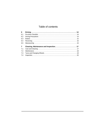# Table of contents

| 6              |  |
|----------------|--|
| 6.1            |  |
| 6.2            |  |
| 6.3            |  |
| 6.4            |  |
| 6.5            |  |
| $\overline{7}$ |  |
| 7.1            |  |
| 7.2            |  |
| 7.3            |  |
| 7.4            |  |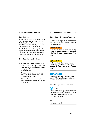### <span id="page-3-0"></span>**1 Important Information**

### Dear Customer,

These operating instructions are intended to help you use your "First-Class Trailer" optimally. Following these instructions will ensure that you can use your trailer safely for a long time.

This trailer has been developed and designed to the latest state-of-the-art and has been thoroughly tested to ensure perfect functioning prior to despatch.

### <span id="page-3-1"></span>**1.1 Operating Instructions**

- Please retain these operating instructions for future reference. If you sell or lend your trailer to a third party please always give the operating instructions to the new user.
- Please read the operating instructions completely before using the trailer for the first time.
- Disregard of these operating instructions may lead to injuries or damage to the trailer.

### <span id="page-3-2"></span>**1.2 Representation Conventions**

### **1.2.1 Safety Notices and Warnings**

hazard severities. level system is used to indicate different In these operating instructions different

### **AWARNING**

**taken. ified precautionary measures are not injury will probably occur if the spec-Indicates that death or serious bodily**

### **ACALITION**

**Indicates that minor to moderate bodily injury will occur if the specified precautionary measures are not taken.**

### **NOTICE**

**Indicates that material damage will occur if the specified precautionary measures are not taken.**

The following markings are also used:

# $\left| \cdot \right|$  NOTE

Points out particularly important information about the trailer, handling of the vehicle or the respective part of the operating instructions.

### **TIP**

Indicates a user tip.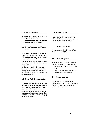### **1.2.2 Text Distinctions**

The following text markings are used in these operating instructions:

**A Version variants are indicated by the respective capital letters.**

### <span id="page-4-0"></span>**1.3 Trailer Versions and Accessories**

All trailers are available in different versions. You can also retrofit your trailer with additional accessories (see "Spare Parts and Accessories").

Due to the large number of versions and accessory parts, not all trailer versions are described.

Familiarise yourself with the version, options and accessories of your trailer to identify the corresponding version variants in these operating instructions that apply to your trailer.

### <span id="page-4-1"></span>**1.4 Third-Party Documentation**

If the trailer is fitted with purchased parts the corresponding operating instructions from the third-party manufacturers are supplied with the trailer documents.

Please heed the information regarding operation, maintenance and care of the purchased part in the corresponding operating instructions.

### <span id="page-4-2"></span>**1.5 Trailer Approval**

Trailer approval is country-specific. Please find out how and where you can obtain approval for your trailer.

### **1.5.1 Speed Limit of 100**

The maximum allowable speed for towing the trailer is 100 kph.

### **1.5.2 Vehicle Inspection**

The regulations for vehicle inspections are country-specific. Please find out

- when a vehicle inspection is required and
- where a vehicle inspection can be carried out for your vehicle.

### **1.6 Driving Licence**

<span id="page-4-3"></span>Depending on the country, a specific driving licence may be needed for towing a trailer. Please find out about the requirements in your country.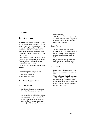### <span id="page-5-0"></span>**2 Safety**

### <span id="page-5-1"></span>**2.1 Intended Use**

The trailer is designed to transport goods in the range of the corresponding gross weight rating (see "Technical Data"), and is intended to be used in combination with towing vehicles whose rear overhang (dimension from the centre of the rear axle to the ball coupling) is no more than 160 cm.

If the towing vehicle's rear overhang exceeds 160 cm, a trailer with a reinforced frame or a height-adjustable overrun mechanism must be used.

If you have any questions, contact your dealer.

The following uses are prohibited:

- transport of people
- transport of animals

### **2.2 Basic Safety Instructions**

### <span id="page-5-2"></span>**2.2.1 Inspections**

– The delivery inspection must be carried out by the dealer and recorded in

the inspection schedule (see "Cleaning, Maintenance and Inspection").

– The wheel bolts must be inspected after the first 50 km using a torque wrench (see "Cleaning, Maintenance and Inspection").

– All further inspections must be carried out in accordance with the inspection schedule (see "Cleaning, Maintenance and Inspection").

### **2.2.2 People**

- Trailers are not toys. Do not allow children to play unattended in the vicinity of a trailer. They may injure themselves when playing with the trailer.
- People working with or driving the trailer must have read and understood these operating instructions.

### **2.2.3 Trailer**

- Never use a defective trailer. Defective trailers conceal unforeseeable risks.
- The rear lights of the trailer must be visible at all times. If the rear lights are covered by a protruding load, open ramps or dirt please mount an easily visible rear lighting unit to mark the end of the trailer.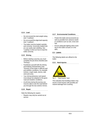### **2.2.4 Load**

- Do not exceed the total weight rating (see "Loading").
- Do not exceed the edge load capacity (see "Loading").
- The trailer must be loaded carefully and correctly. Incorrectly loaded trailers can easily start skidding. See "Loading" to find out how to load the trailer correctly.

### **2.2.5 Driving**

- Before starting a journey you must complete the pre-drive checklist (see "Driving").
- Familiarise yourself with the driving and braking characteristics (see "Driving") of the trailer in difficult road and weather conditions, for example inclines, rough roads, storms, side wind and snow.
- Your driving behaviour and speed must always be adapted to the given road and weather conditions.
- At all times during the journey you must be able to see the road behind you through the two exterior mirrors.

### **2.2.6 Repair**

Note the following for repairs:

– Repairs may only be carried out at service

### **2.2.7 Environmental Conditions**

- Protect the trailer and accessories as well as possible from adverse weather conditions such as rain, snow and hail.
- Ensure adequate lighting when working on the trailer at dusk or in the dark.

### **2.3 Labels**

<span id="page-6-0"></span>The following labels are affixed to the trailer:

### **2.3.1 Hand Injuries**





This indicates that handling trailers may result in hand injuries with possibly permanent damage from crushing.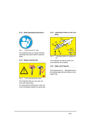### **2.3.2 Read Operating Instructions**



Fig. 2: "Read instructions" label

This indicates that you should read the operating instructions before using the trailer.

### **2.3.3 Replace Spring Clip**



Fig. 3: "Lock using spring clip" label

This indicates that you may only use locks with spring clips.

If a spring clip is missing from a lock you must immediately replace the spring clip.

### **2.3.4 Lubrication Points on the Coupling**



Fig. 4: "Lubrication points on coupling" label

This indicates the places where you must lubricate the coupling.

### **2.3.5 Edge Load Capacity**

This indicates the may. allowable load on the loading edge with and without a rear support leg.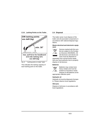### **2.3.6 Lashing Points on the Trailer**



Fig. 6: "Lashing points on trailer" label

This indicates the lashing capacity of each lashing point on the trailer.

### <span id="page-8-0"></span>**2.4 Disposal**

The trailer owner must dispose of the trailer and all associated components in accordance with national disposal regulations.

### **Waste electrical and electronic equipment**



Devices marked with this symbol are subject to the European Directive 2002/96/EG. All old electronic and electric devices must be disposed of

separately from normal house waste. Ask your local authority how to properly dispose of old devices.

### **Batteries**



Batteries may contact toxic heavy metals and must be treated as hazardous waste.

Dispose of old batteries at the appropriate collection point.

### **Hydraulic oil**

Hydraulic oil must be disposed of properly. Please observe local regulations.

### **Old tyres**

Dispose of old tyres in accordance with local regulations.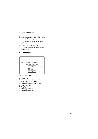### <span id="page-9-0"></span>**3 Technical Data**

The technical data for your trailer can be found in the following places:

- in the vehicle documents for your trailer
- on the trailer's rating plate
- in the type identification information for the trailer.

### <span id="page-9-1"></span>**3.1 Rating plate**



Fig. 1: Rating plate

- 1 Manufacturer
- 2 General operator's licence (ABE) number for the approved trailer type
- 3 17-digit trailer identification number
- 4 Total weight rating
- 5 Coupling device load
- 6 Total weight rating for axle 1
- 7 Total weight rating for axle 2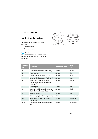### <span id="page-10-0"></span>**4 Trailer Features**

### <span id="page-10-1"></span>**4.1 Electrical Connections**

The following connectors are distinguished:

- 7-pin connector
- 13-pin connector.

### **NOTE** li.

Please use an adapter if the socket of the towing vehicle does not match the trailer plug.





Fig. 1: Plug versions

| Contact<br>no.  | <b>Function</b>                                                                                    | <b>Connected load</b> | <b>Wire col-</b><br>our  |
|-----------------|----------------------------------------------------------------------------------------------------|-----------------------|--------------------------|
| 1               | Direction indicator left (flash light)                                                             | 1.5 mm <sup>2</sup>   | yellow                   |
| $\mathcal{P}$   | Rear fog light                                                                                     | 1.5 mm <sup>2</sup>   | blue                     |
| 3a)             | Ground for contacts no. 1 to 8                                                                     | $2.5$ mm <sup>2</sup> | white                    |
| $\overline{4}$  | Direction indicator right (flash light)                                                            | 1.5 mm <sup>2</sup>   | green                    |
| 5               | Right-hand tail lights, outline<br>marker lights, limiting lights and<br>plate light <sup>b)</sup> | $1.5$ mm <sup>2</sup> | brown                    |
| 6               | <b>Brake lights</b>                                                                                | $1.5$ mm <sup>2</sup> | red                      |
| 7               | Left-hand tail lights, outline marker<br>lights, limiting lights and plate light <sup>b)</sup>     | 1.5 mm <sup>2</sup>   | black                    |
| 8               | Reversing light                                                                                    | $1,5 \, \text{mm}^2$  | greyc)                   |
| 9               | Power supply (continuous positive)                                                                 | $2.5$ mm <sup>2</sup> | brown/blue <sup>c)</sup> |
| 10              | The power supply is controlled via<br>the ignition                                                 | $2.5$ mm <sup>2</sup> | brown/red <sup>c)</sup>  |
| 11 <sup>a</sup> | Ground for circuit from contact no.<br>10                                                          | $2.5$ mm <sup>2</sup> | white/red <sup>c)</sup>  |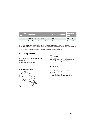| <b>Contact</b><br>no. | Function <sup>1</sup>               | <b>Connected load</b> | <b>Wire col-</b><br>our   |
|-----------------------|-------------------------------------|-----------------------|---------------------------|
| 12                    | Reserved for future applications    |                       | Not used                  |
| 13a)                  | Ground for circuit from contact no. | $2.5 \text{ mm}^2$    | black/white <sup>c)</sup> |

a) The three ground wires must not be connected to any functional electrical conductor on the trailer.

- b) The plate light must be connected in such a manner that no lamp of this device is connected with contacts no. 5 and 7.
- c) The colour assignment is determined by the manufacturer. Differences may occur.

### <span id="page-11-0"></span>**4.2 Towing Devices**

The following towing device is distinguished:

– A-frame drawbar (A)

# **i** NOTE

See additional operating instructions and / or third-party documentation.

## **4.3 Coupling**

The following couplings are distinguished:

<span id="page-11-1"></span>– standard coupling version (A),

### **A A-frame drawbar**



Fig. 2: A-frame drawbar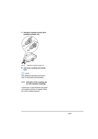**A Standard coupling version (also available lockable, A2)**



Fig. 5: Standard coupling version A1

### **B Anti-sway coupling and towing eyes**



See additional operating instructions and / or third-party documentation.

### **4.3.1 Indication of the coupling status with standard couplings**

A distinction is made between two standard coupling variants as regards indication of the coupling statuses.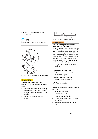### <span id="page-13-0"></span>**4.6 Parking brake and wheel chocks**

# **NOTE**

Parking brakes and wheel chocks can only be found on braked trailers.



Fig. 14: Parking brake with spring energy accumulator

### **ACAUTION**

### **Sticking and frozen brake pads**

Personal injury through delayed braking action

- The trailer should not be secured by means of the parking brake in frost conditions or when not in use for long periods.
- Secure the trailer using wheel chocks.



Fig. 15: Positions of the wheel chocks

### **AWARNING**

### **Delayed braking action with the spring energy accumulator**

Pinching of body parts, material damage

When the parking brake is applied, the trailer is secured against rolling. After applying the parking brake, the trailer can still be moved backwards approx. 25 cm. Only then does the full braking effect come into play. The forwards braking effect is immediately effective.

• Ensure that the full braking power is applied.

### **Applying the parking brake**

• Pull the hand lever up until the braking action is applied.

### **Releasing the parking brake**

• Push the hand lever down.

### <span id="page-13-1"></span>**4.7 Rear prop stands**

The following rear prop stands are distinguished:

- adjustable support leg
	- basic version (A)
	- reinforced version (B)
- fold-out support leg (LINNEPE support leg) (C)
- telescopic crank-down support leg (D).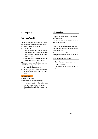### <span id="page-14-0"></span>**5 Coupling**

### <span id="page-14-1"></span>**5.1 Nose Weight**

The nose weight is defined as the weight on the towing device of the towing vehicle when a trailer is coupled.

- Ensure that:
	- the nose weight is at least 4% of the actual laden weight of the trailer. However, it need not be more than 25 kg.
	- the maximum nose weight for the towing vehicle is not exceeded.

The nose weight specifications are located with the towing vehicle:

- on a label in the rear area,
- in field 13 of part I (vehicle registration certificate) of the approval certificate.

### **AWARNING**

### **Danger of Skidding**

Bodily injury or material damage

- Do not overload the trailer at the rear.
- The load at the front of the trailer should be slightly higher than at the rear.

### **5.2 Coupling**

Coupling must be done in a safe and well-lit location.

The ground or support surface must be firm, strong and level.

Traffic must not be restricted. Drivers and other people must not be hindered or endangered.

Before hitching or unhitching secure the towing vehicle to prevent it rolling away.

### **5.2.1 Hitching the Trailer**

- 1. Open the coupling completely.
- 2. Hitch the trailer.
- 3. Check that the coupling is firmly seated.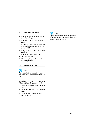### **5.2.2 Unhitching the Trailer**

- 1. Pull up the parking brake to prevent the trailer rolling away.
- 2. Place wheel chocks in front of the tyres.
- 3. For braked trailers remove the breakaway cable from the tow bar of the towing vehicle.
- 4. Lower the jockey wheel to unload the coupling.
- 5. Pull the plug out of the socket.
- 6. Open the coupling.
- 7. Lift the coupling up off the tow bar of the towing vehicle.

### **5.3 Parking the Trailer**

### f i i **NOTE**

For the trailer to be stable the ground or support surface should be firm, level and flat.

To park the trailer stably you must do the following (depending on the model):

- lower the jockey wheel after unhitching,
- place the wheel chocks in front of the tyres,
- place the rear prop stands (if supplied) in position.



If possible tilt a trailer with an open box slightly when parking. This will allow rainwater to drain off the bed.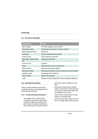### <span id="page-16-0"></span>**6 Driving**

### <span id="page-16-1"></span>**6.1 Pre-drive Checklist**

| Component                        | Check                                                   |
|----------------------------------|---------------------------------------------------------|
| Ball coupling                    | Correctly engaged and secured?                          |
| Breakaway cable                  | Positioned over tow bar of towing vehicle?              |
| Manual parking brake             | Released?                                               |
| Connector                        | Firmly connected and secured?                           |
| Jockey wheel                     | Fully raised and secured?                               |
| Side walls, ramps, doors<br>etc. | Closed and secured?                                     |
| Canvas cover                     | In place?                                               |
| <b>Tyres</b>                     | Filled with the correct air pressure?                   |
| Wheel chocks                     | Removed and stored safely?                              |
| Rear prop stands                 | Raised and secured? Crank removed and stored safely?    |
| Lighting system                  | Undamaged and working?                                  |
| Drive-on rails                   | Stored and secured?                                     |
| Load                             | Weight correctly distributed? Secured against slipping? |

### <span id="page-16-2"></span>**6.2 Driving Precautions**

ferent driving conditions. carefully so that you are prepared for dif-Please read the following information

### **6.2.1 General Driving Precautions**

– The stability of the vehicle-trailer combination decreases with increasing speed. Adapt your speed to the given road and weather conditions to ensure that you can stop the vehicle

and trailer without problems at any time.

- Slow down while driving a loaded trailer on an incline to ensure that you can stop the vehicle and trailer without problems at any time.
- Note that the turning radius of long trailers is unusually large.
- Note that long trailers follow the vehicle in a smaller radius when turning.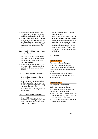- additional easily visible lighting unit. cover the lights you must attach an – If protruding or overhanging loads
- load. tyre pressure to the weight of the on the trailer. If necessary, adapt the trip check the air pressure in all tyres pressure is too low. Before making a – Trailer snaking may result if the tyre

### **and Snow 6.2.2 Tips for Driving in Rain, Frost**

- have less traction. tics are poorer because the tyres the driving and braking characteris- – Note that on icy and slippery roads
- drivers. trailer to avoid endangering other ter, snow or ice from the roof of the – Before making a trip remove any wa-

### **6.2.3 Tips for Driving in Side Wind**

snake or tip over. – Side wind can cause the trailer to

ing lanes or passing etc. rain or bridges, when you are changand unexpectedly, e.g. on rough ter-Side wind gusts often occur suddenly

a side wind. Slow down immediately if you notice

### **6.2.4 Tips for Handling Snaking**

gently. Do not speed up. off the gas pedal and counter-steer starts snaking carefully take your foot – If the vehicle-trailer combination

steering motions. Do not make any hectic or abrupt

of the load. distribution, nose weight and lashing reason please ensure correct load or insufficient nose weight. For this sive speed, incorrect load distribution correct driving behaviour and excescauses of snaking are, apart from iner have stabilised. The most frequent Stop as soon as the vehicle and trail-

### <span id="page-17-0"></span>**6.3 Brakes**

### **AWARNING**

### **Non-functioning brake system**

trailer. brake system cannot promptly stop the A poorly functioning or non-functioning Bodily injury or material damage

- must be carried out with the trailer. Before each journey a brake test
- Brake early.

### **AWARNING**

### **Braking distance too short**

Bodily injury or material damage

The braking distance of the trailer increases with increasing load.

- Note that the ABS system of the towing vehicle does not control the overrun mechanism of the trailer.
- The driver of the towing vehicle must initiate braking early.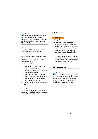# $\lceil i \rceil$  note

For trailers with overrun brakes full braking may cause the overrun brake to block the wheels. brake the trailer first brake gently to avoid blocking the wheels. Then brake hard.

### **TIP**

Inexperienced drivers should first practise braking on suitable terrain.

### **6.3.1 Checking the Brake System**

The trailer's brake system must be checked regularly.

- Check whether:
	- the guides, Bowden cables or yokes are damaged,
	- other components are restricting the Bowden cables,
	- the joints on the yokes and the rods are free-moving, but secure,
	- the exteriors of the dust seals or gaskets are damaged.
- Ensure that any defects are repaired promptly.

# **NOTE**

If the brake pads need to be replaced make sure the wheel bearings are also checked for wear and damage.

### <span id="page-18-0"></span>**6.4 Reversing**

### **AWARNING**

### **Blind spot**

Running over people or objects

- Have an experienced person teach you how to reverse safely to ensure you will not endanger other drivers.
- Make sure no one is between the towing vehicle and the trailer while reversing.
- Instructors must maintain a safe distance to the trailer and must always be visible in the exterior mirrors when the trailer is being reversed.

### **6.5 Manoeuvring**

# **NOTE**

The trailer can be more easily manoeuvred if the air pressure in the tyres is not too low. If the trailer is difficult to manoeuvre check the tyre pressure (see "Tyre inflation pressure" table).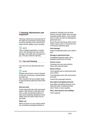### **Inspection 7 Cleaning, Maintenance and**

trailer and the validity of your warranty. as well as retention of the value of your the trailer are essential for driving safety Cleaning, maintenance and inspection of

# **NOTE**

jury. This also voids the warranty. damage to the trailer and consequent innance and cleaning work may result in Late or skipped inspections or mainte-

### **7.1 Care and Cleaning**

self. You may carry out cleaning work your-

# $\left\lceil i \right\rceil$  note

and after use. for dirt and, if necessary, cleaned before All parts and surfaces must be checked

trailer. to reduced driving safety and value of the Also, long-term dirt accumulation leads

### **Salt and acids**

with water. diately clean the trailer inside and out other acid-containing substances immetions or after transporting fertilisers or agents. After driving in road salt condi-Avoid contact with salt, acids and caustic

### **White rust**

are corroded by prolonged wetness or White rust forms on zinc surfaces which exposed to chlorides such as those found in road salt. White rust is not a galvanisation quality defect. A thin surface layer of white rust does not damage the galvanised layer.

Brush off areas with heavy white rust formation using a nylon or wire brush and, if necessary, galvanise again.

### **Paint damage**

Repair immediately before rust is able to form.

### **Damage to galvanised layer**

Immediately galvanise again with a standard commercial zinc spray.

### **Canvas covers**

Canvases are easy-care products. Clean with soap and water.

### **Wood surfaces**

Treat regularly with a commercial wood care product.

Treat damaged areas with wood protection paint.

Protect from prolonged wetness.

### **Rear lights and lighting elements**

Rear lights and lighting elements must always be intact, unobstructed and clean. Wash or clean regularly.

# **Rims, wheel guards and mudflaps**

Clean regularly.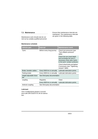### **7.2 Maintenance**

Maintenance work should only be carried out by suitably qualified personnel.

### **Maintenance schedule**

Ensure that maintenance intervals are maintained. The maintenance intervals are given in the following table.

| <b>Vehicle part</b>            | <b>Interval</b>               | <b>Maintenance work</b>                                                                                                  |
|--------------------------------|-------------------------------|--------------------------------------------------------------------------------------------------------------------------|
| Tyres                          | Before every long journey     | Check tyre pressures (see<br>"Tyre inflation pressure"<br>table)                                                         |
|                                |                               | Check the tyre tread depth<br>and exchange the tyres if<br>necessary (note wear marks<br>in the tyres' contact surfaces) |
|                                |                               | Check wheel bolts and tighten<br>if necessary (see "Tightening<br>torques" table)                                        |
| Brake, bowden cables           | Every 5000 km or annually     | Lubricate lubrication points                                                                                             |
| Parking brake                  | Every 5000 km or annually     | Lubricate lubrication points                                                                                             |
| Height-adjustable draw-<br>bar | See third-party documentation |                                                                                                                          |
| coupling                       | Regularly                     | Clean                                                                                                                    |
|                                | Every 5000 km or annually     | Lubricate lubrication points                                                                                             |
| Antirock coupling              | See third-party documentation |                                                                                                                          |

### **Lubricant**

Use a multipurpose grease in accordance with DIN 51625 KTA 3K for lubrication.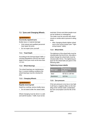### **7.3 Tyres and Changing Wheels**

### **AWARNING**

### **Incorrectly repaired tyres**

Bodily injury or material damage

- may repair the tyres. • Only trained and qualified personnel
- Do not repair tyres yourself.

### **7.3.1 Tread Depth**

1.6 mm. depth of the tyres must not be less than censing Regulations (StVZO) the tread According to the German Road Traffic Li-

### **7.3.2 Wheel Bearings**

play. wheel bearings must be checked for free. In severe loading conditions the The wheel bearings are maintenance-

### **7.3.3 Changing Wheels**

### **AWARNING**

### **Rapidly lowering bed**

Death by crushing, serious bodily injury

• Do not stand under the raised trailer.

Wheel changing must be done in a safe and well-lit location. Traffic must not be

The trailer must be secured with wheel not be hindered or endangered. restricted. Drivers and other people must

away. chocks or similar aids to prevent it rolling

ening torques" table). nuts to the correct torque (see "Tight- After changing wheels tighten wheel

### **7.3.4 Wheel Bolts**

The tightness of the wheel bolts must be checked after the first 50 km. Also after a wheel change the wheel bolts must be checked after 50 km. The tightening torques for the wheel bolts are given in the following table.

### **Tightening torque tabelle**

| <b>Rim type</b> | Tightening<br>torque |
|-----------------|----------------------|
| Steel           | 90 Nm to 100 Nm      |
| Aluminium       | $110$ Nm             |

### **7.3.5 Tyre pressure**

tyres. the fuel consumption and the life of the dling of the vehicle-trailer combination, it will have a negative effect on the han-If the tyre pressure is too low or too high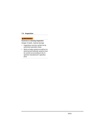### **7.4 Inspection**

### **AWARNING**

### **Incorrect or missing inspection**

Danger of death, material damage

- Inspections must be carried out by authorised specialist shops.
- Work on brake systems as well as on electrical and hydraulic systems must be carried out according to the respective manufacturer's specifications.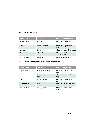### **7.4.1 Delivery Inspection**

| <b>Vehicle part</b> | <b>Test criterion</b> | <b>Work to be performed</b>              |
|---------------------|-----------------------|------------------------------------------|
| Brake system        | Braking effect        | Check and adjust if neces-<br>sary       |
| <b>Tyres</b>        | Inflation pressure    | Check and adjust if neces-<br>sary       |
| Lighting            | Lights                | Check and repair if necessary            |
| Wheels              | <b>Wheel Bolts</b>    | Check after 50 km (see<br>"Wheel Bolts") |
| Overrun brake       | coupling              | Check after 100 km                       |

### **7.4.2 First Inspection (at the latest 1000 km after delivery)**

| <b>Vehicle part</b>   | <b>Test criterion</b>             | Work to be performed                 |
|-----------------------|-----------------------------------|--------------------------------------|
| Overall trailer       | Screwed connection                | Check and tighten if neces-<br>sary  |
|                       | Corrosion protection, dam-<br>age | Check and touch up if neces-<br>sary |
| Tyres                 | Inflation pressure                | Check and adjust if neces-<br>sary   |
| <b>Wheel Bearings</b> | Play                              | Check and renew if neces-<br>sary    |
| Brake system          | Braking effect                    | Check and renew if neces-<br>sary    |